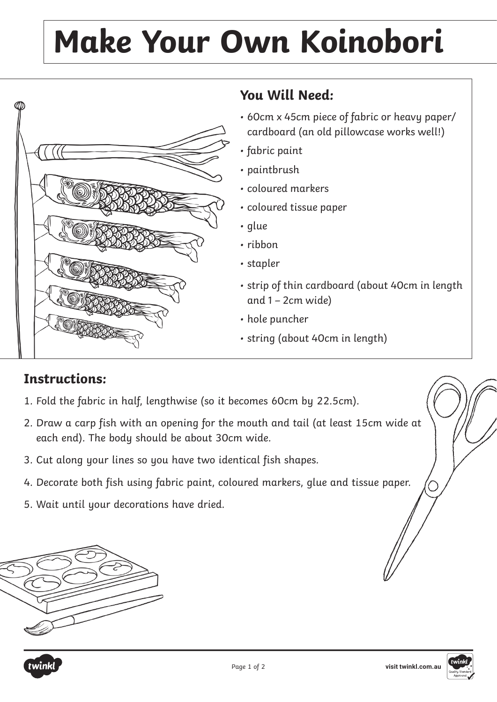## **Make Your Own Koinobori**



## **You Will Need:**

- 60cm x 45cm piece of fabric or heavy paper/ cardboard (an old pillowcase works well!)
- fabric paint
- paintbrush
- coloured markers
- coloured tissue paper
- glue
- ribbon
- stapler
- strip of thin cardboard (about 40cm in length and  $1 - 2$ cm wide)
- hole puncher
- string (about 40cm in length)

## **Instructions:**

- 1. Fold the fabric in half, lengthwise (so it becomes 60cm by 22.5cm).
- 2. Draw a carp fish with an opening for the mouth and tail (at least 15cm wide at each end). The body should be about 30cm wide.
- 3. Cut along your lines so you have two identical fish shapes.
- 4. Decorate both fish using fabric paint, coloured markers, glue and tissue paper.
- 5. Wait until your decorations have dried.